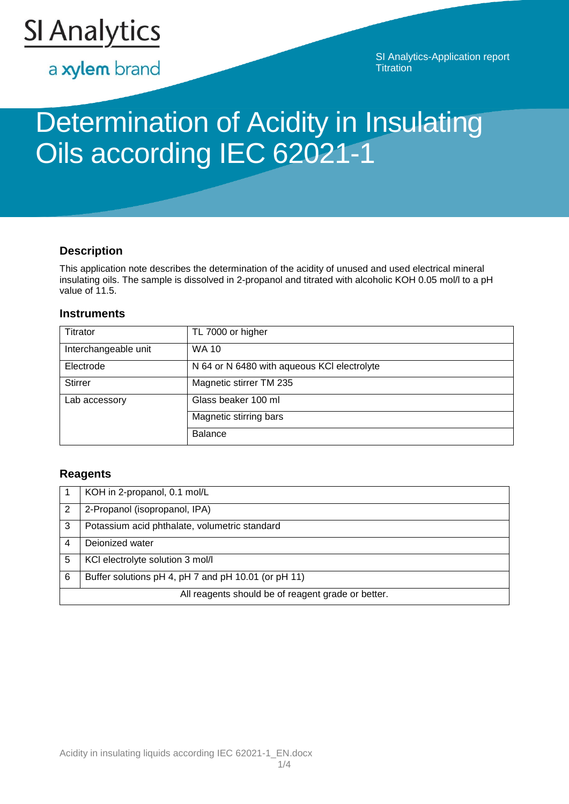

a xylem brand

SI Analytics-Application report **Titration** 

# Determination of Acidity in Insulating Oils according IEC 62021-1

# **Description**

This application note describes the determination of the acidity of unused and used electrical mineral insulating oils. The sample is dissolved in 2-propanol and titrated with alcoholic KOH 0.05 mol/l to a pH value of 11.5.

# **Instruments**

| Titrator             | TL 7000 or higher                           |
|----------------------|---------------------------------------------|
| Interchangeable unit | <b>WA 10</b>                                |
| Electrode            | N 64 or N 6480 with aqueous KCI electrolyte |
| <b>Stirrer</b>       | Magnetic stirrer TM 235                     |
| Lab accessory        | Glass beaker 100 ml                         |
|                      | Magnetic stirring bars                      |
|                      | <b>Balance</b>                              |

# **Reagents**

|   | KOH in 2-propanol, 0.1 mol/L                        |
|---|-----------------------------------------------------|
| 2 | 2-Propanol (isopropanol, IPA)                       |
| 3 | Potassium acid phthalate, volumetric standard       |
| 4 | Dejonized water                                     |
| 5 | KCI electrolyte solution 3 mol/l                    |
| 6 | Buffer solutions pH 4, pH 7 and pH 10.01 (or pH 11) |
|   | All reagents should be of reagent grade or better.  |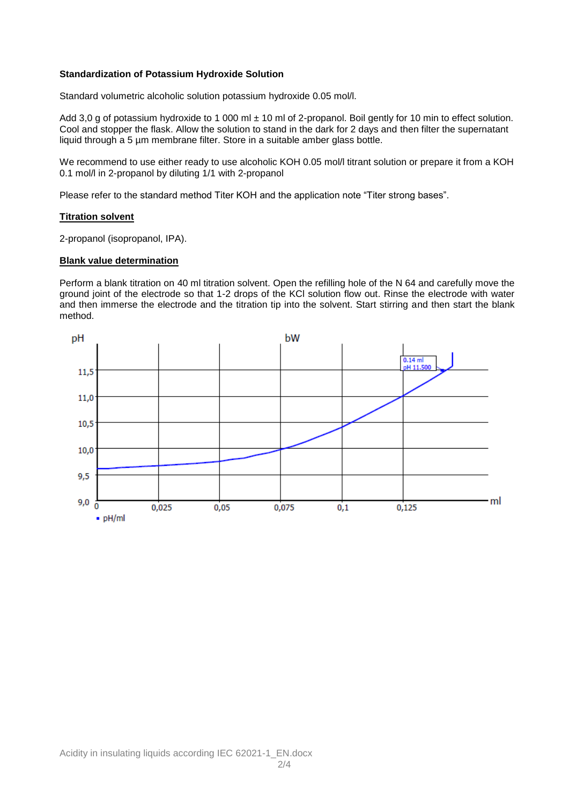## **Standardization of Potassium Hydroxide Solution**

Standard volumetric alcoholic solution potassium hydroxide 0.05 mol/l.

Add 3,0 g of potassium hydroxide to 1 000 ml ± 10 ml of 2-propanol. Boil gently for 10 min to effect solution. Cool and stopper the flask. Allow the solution to stand in the dark for 2 days and then filter the supernatant liquid through a 5 µm membrane filter. Store in a suitable amber glass bottle.

We recommend to use either ready to use alcoholic KOH 0.05 mol/l titrant solution or prepare it from a KOH 0.1 mol/l in 2-propanol by diluting 1/1 with 2-propanol

Please refer to the standard method Titer KOH and the application note "Titer strong bases".

## **Titration solvent**

2-propanol (isopropanol, IPA).

#### **Blank value determination**

Perform a blank titration on 40 ml titration solvent. Open the refilling hole of the N 64 and carefully move the ground joint of the electrode so that 1-2 drops of the KCl solution flow out. Rinse the electrode with water and then immerse the electrode and the titration tip into the solvent. Start stirring and then start the blank method.

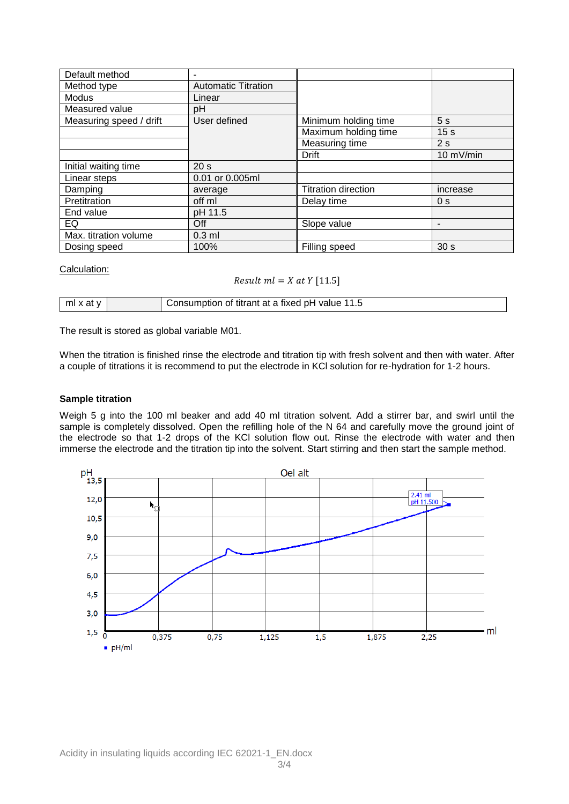| Default method          | ۰                          |                            |                          |
|-------------------------|----------------------------|----------------------------|--------------------------|
| Method type             | <b>Automatic Titration</b> |                            |                          |
| Modus                   | Linear                     |                            |                          |
| Measured value          | рH                         |                            |                          |
| Measuring speed / drift | User defined               | Minimum holding time       | 5s                       |
|                         |                            | Maximum holding time       | 15 <sub>s</sub>          |
|                         |                            | Measuring time             | 2s                       |
|                         |                            | Drift                      | 10 mV/min                |
| Initial waiting time    | 20 <sub>s</sub>            |                            |                          |
| Linear steps            | 0.01 or 0.005ml            |                            |                          |
| Damping                 | average                    | <b>Titration direction</b> | increase                 |
| Pretitration            | off ml                     | Delay time                 | 0 <sub>s</sub>           |
| End value               | pH 11.5                    |                            |                          |
| EQ                      | Off                        | Slope value                | $\overline{\phantom{a}}$ |
| Max. titration volume   | $0.3$ ml                   |                            |                          |
| Dosing speed            | 100%                       | Filling speed              | 30 <sub>s</sub>          |

## Calculation:

# Result  $ml = X$  at  $Y$  [11.5]

| : ml x د. | i of titrant at a fixed pH value<br>isumbtion<br>ن. ا<br>. |
|-----------|------------------------------------------------------------|
|-----------|------------------------------------------------------------|

The result is stored as global variable M01.

When the titration is finished rinse the electrode and titration tip with fresh solvent and then with water. After a couple of titrations it is recommend to put the electrode in KCl solution for re-hydration for 1-2 hours.

#### **Sample titration**

Weigh 5 g into the 100 ml beaker and add 40 ml titration solvent. Add a stirrer bar, and swirl until the sample is completely dissolved. Open the refilling hole of the N 64 and carefully move the ground joint of the electrode so that 1-2 drops of the KCl solution flow out. Rinse the electrode with water and then immerse the electrode and the titration tip into the solvent. Start stirring and then start the sample method.